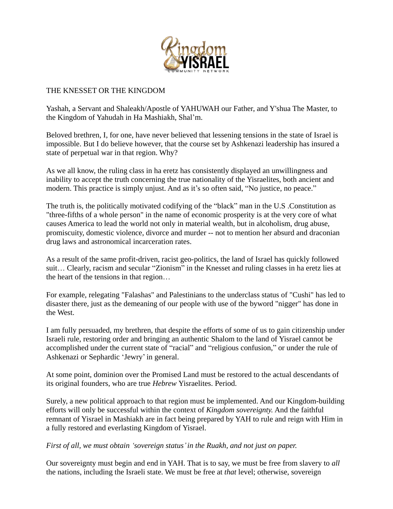

## THE KNESSET OR THE KINGDOM

Yashah, a Servant and Shaleakh/Apostle of YAHUWAH our Father, and Y'shua The Master, to the Kingdom of Yahudah in Ha Mashiakh, Shal'm.

Beloved brethren, I, for one, have never believed that lessening tensions in the state of Israel is impossible. But I do believe however, that the course set by Ashkenazi leadership has insured a state of perpetual war in that region. Why?

As we all know, the ruling class in ha eretz has consistently displayed an unwillingness and inability to accept the truth concerning the true nationality of the Yisraelites, both ancient and modern. This practice is simply unjust. And as it's so often said, "No justice, no peace."

The truth is, the politically motivated codifying of the "black" man in the U.S .Constitution as "three-fifths of a whole person" in the name of economic prosperity is at the very core of what causes America to lead the world not only in material wealth, but in alcoholism, drug abuse, promiscuity, domestic violence, divorce and murder -- not to mention her absurd and draconian drug laws and astronomical incarceration rates.

As a result of the same profit-driven, racist geo-politics, the land of Israel has quickly followed suit… Clearly, racism and secular "Zionism" in the Knesset and ruling classes in ha eretz lies at the heart of the tensions in that region…

For example, relegating "Falashas" and Palestinians to the underclass status of "Cushi" has led to disaster there, just as the demeaning of our people with use of the byword "nigger" has done in the West.

I am fully persuaded, my brethren, that despite the efforts of some of us to gain citizenship under Israeli rule, restoring order and bringing an authentic Shalom to the land of Yisrael cannot be accomplished under the current state of "racial" and "religious confusion," or under the rule of Ashkenazi or Sephardic 'Jewry' in general.

At some point, dominion over the Promised Land must be restored to the actual descendants of its original founders, who are true *Hebrew* Yisraelites. Period.

Surely, a new political approach to that region must be implemented. And our Kingdom-building efforts will only be successful within the context of *Kingdom sovereignty.* And the faithful remnant of Yisrael in Mashiakh are in fact being prepared by YAH to rule and reign with Him in a fully restored and everlasting Kingdom of Yisrael.

*First of all, we must obtain 'sovereign status'in the Ruakh, and not just on paper.*

Our sovereignty must begin and end in YAH. That is to say, we must be free from slavery to *all*  the nations, including the Israeli state. We must be free at *that* level; otherwise, sovereign